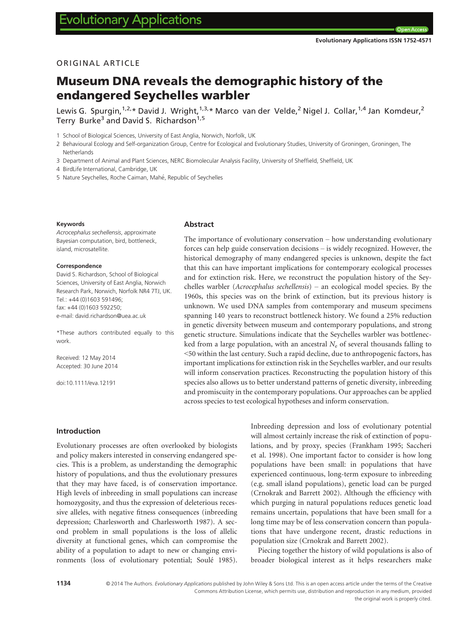Open A

# ORIGINAL ARTICLE

# Museum DNA reveals the demographic history of the endangered Seychelles warbler

Lewis G. Spurgin,  $1,2,4$  David J. Wright,  $1,3,4$  Marco van der Velde, <sup>2</sup> Nigel J. Collar,  $1,4$  Jan Komdeur, <sup>2</sup> Terry Burke<sup>3</sup> and David S. Richardson<sup>1,5</sup>

1 School of Biological Sciences, University of East Anglia, Norwich, Norfolk, UK

2 Behavioural Ecology and Self-organization Group, Centre for Ecological and Evolutionary Studies, University of Groningen, Groningen, The Netherlands

3 Department of Animal and Plant Sciences, NERC Biomolecular Analysis Facility, University of Sheffield, Sheffield, UK

4 BirdLife International, Cambridge, UK

5 Nature Seychelles, Roche Caiman, Mahé, Republic of Seychelles

#### Keywords

Acrocephalus sechellensis, approximate Bayesian computation, bird, bottleneck, island, microsatellite.

#### Correspondence

David S. Richardson, School of Biological Sciences, University of East Anglia, Norwich Research Park, Norwich, Norfolk NR4 7TJ, UK. Tel.: +44 (0)1603 591496; fax: +44 (0)1603 592250; e-mail: david.richardson@uea.ac.uk

\*These authors contributed equally to this work.

Received: 12 May 2014 Accepted: 30 June 2014

doi:10.1111/eva.12191

## Abstract

The importance of evolutionary conservation – how understanding evolutionary forces can help guide conservation decisions – is widely recognized. However, the historical demography of many endangered species is unknown, despite the fact that this can have important implications for contemporary ecological processes and for extinction risk. Here, we reconstruct the population history of the Seychelles warbler (Acrocephalus sechellensis) – an ecological model species. By the 1960s, this species was on the brink of extinction, but its previous history is unknown. We used DNA samples from contemporary and museum specimens spanning 140 years to reconstruct bottleneck history. We found a 25% reduction in genetic diversity between museum and contemporary populations, and strong genetic structure. Simulations indicate that the Seychelles warbler was bottlenecked from a large population, with an ancestral  $N_e$  of several thousands falling to <50 within the last century. Such a rapid decline, due to anthropogenic factors, has important implications for extinction risk in the Seychelles warbler, and our results will inform conservation practices. Reconstructing the population history of this species also allows us to better understand patterns of genetic diversity, inbreeding and promiscuity in the contemporary populations. Our approaches can be applied across species to test ecological hypotheses and inform conservation.

Introduction

Evolutionary processes are often overlooked by biologists and policy makers interested in conserving endangered species. This is a problem, as understanding the demographic history of populations, and thus the evolutionary pressures that they may have faced, is of conservation importance. High levels of inbreeding in small populations can increase homozygosity, and thus the expression of deleterious recessive alleles, with negative fitness consequences (inbreeding depression; Charlesworth and Charlesworth 1987). A second problem in small populations is the loss of allelic diversity at functional genes, which can compromise the ability of a population to adapt to new or changing environments (loss of evolutionary potential; Soule 1985). Inbreeding depression and loss of evolutionary potential will almost certainly increase the risk of extinction of populations, and by proxy, species (Frankham 1995; Saccheri et al. 1998). One important factor to consider is how long populations have been small: in populations that have experienced continuous, long-term exposure to inbreeding (e.g. small island populations), genetic load can be purged (Crnokrak and Barrett 2002). Although the efficiency with which purging in natural populations reduces genetic load remains uncertain, populations that have been small for a long time may be of less conservation concern than populations that have undergone recent, drastic reductions in population size (Crnokrak and Barrett 2002).

Piecing together the history of wild populations is also of broader biological interest as it helps researchers make

1134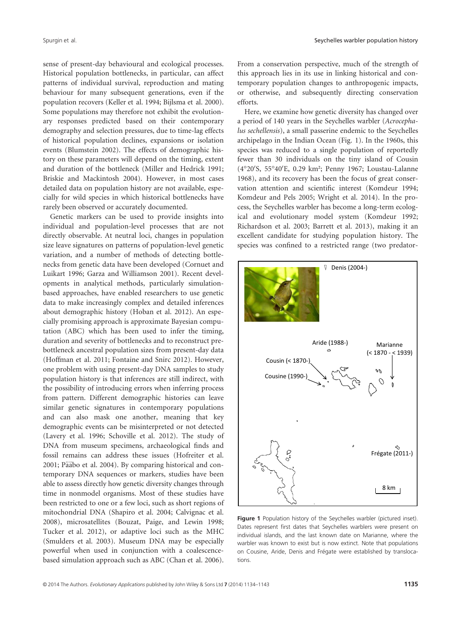sense of present-day behavioural and ecological processes. Historical population bottlenecks, in particular, can affect patterns of individual survival, reproduction and mating behaviour for many subsequent generations, even if the population recovers (Keller et al. 1994; Bijlsma et al. 2000). Some populations may therefore not exhibit the evolutionary responses predicted based on their contemporary demography and selection pressures, due to time-lag effects of historical population declines, expansions or isolation events (Blumstein 2002). The effects of demographic history on these parameters will depend on the timing, extent and duration of the bottleneck (Miller and Hedrick 1991; Briskie and Mackintosh 2004). However, in most cases detailed data on population history are not available, especially for wild species in which historical bottlenecks have rarely been observed or accurately documented.

Genetic markers can be used to provide insights into individual and population-level processes that are not directly observable. At neutral loci, changes in population size leave signatures on patterns of population-level genetic variation, and a number of methods of detecting bottlenecks from genetic data have been developed (Cornuet and Luikart 1996; Garza and Williamson 2001). Recent developments in analytical methods, particularly simulationbased approaches, have enabled researchers to use genetic data to make increasingly complex and detailed inferences about demographic history (Hoban et al. 2012). An especially promising approach is approximate Bayesian computation (ABC) which has been used to infer the timing, duration and severity of bottlenecks and to reconstruct prebottleneck ancestral population sizes from present-day data (Hoffman et al. 2011; Fontaine and Snirc 2012). However, one problem with using present-day DNA samples to study population history is that inferences are still indirect, with the possibility of introducing errors when inferring process from pattern. Different demographic histories can leave similar genetic signatures in contemporary populations and can also mask one another, meaning that key demographic events can be misinterpreted or not detected (Lavery et al. 1996; Schoville et al. 2012). The study of DNA from museum specimens, archaeological finds and fossil remains can address these issues (Hofreiter et al. 2001; Pääbo et al. 2004). By comparing historical and contemporary DNA sequences or markers, studies have been able to assess directly how genetic diversity changes through time in nonmodel organisms. Most of these studies have been restricted to one or a few loci, such as short regions of mitochondrial DNA (Shapiro et al. 2004; Calvignac et al. 2008), microsatellites (Bouzat, Paige, and Lewin 1998; Tucker et al. 2012), or adaptive loci such as the MHC (Smulders et al. 2003). Museum DNA may be especially powerful when used in conjunction with a coalescencebased simulation approach such as ABC (Chan et al. 2006).

From a conservation perspective, much of the strength of this approach lies in its use in linking historical and contemporary population changes to anthropogenic impacts, or otherwise, and subsequently directing conservation efforts.

Here, we examine how genetic diversity has changed over a period of 140 years in the Seychelles warbler (Acrocephalus sechellensis), a small passerine endemic to the Seychelles archipelago in the Indian Ocean (Fig. 1). In the 1960s, this species was reduced to a single population of reportedly fewer than 30 individuals on the tiny island of Cousin (4°20′S, 55°40′E, 0.29 km<sup>2</sup>; Penny 1967; Loustau-Lalanne 1968), and its recovery has been the focus of great conservation attention and scientific interest (Komdeur 1994; Komdeur and Pels 2005; Wright et al. 2014). In the process, the Seychelles warbler has become a long-term ecological and evolutionary model system (Komdeur 1992; Richardson et al. 2003; Barrett et al. 2013), making it an excellent candidate for studying population history. The species was confined to a restricted range (two predator-



Figure 1 Population history of the Seychelles warbler (pictured inset). Dates represent first dates that Seychelles warblers were present on individual islands, and the last known date on Marianne, where the warbler was known to exist but is now extinct. Note that populations on Cousine, Aride, Denis and Frégate were established by translocations.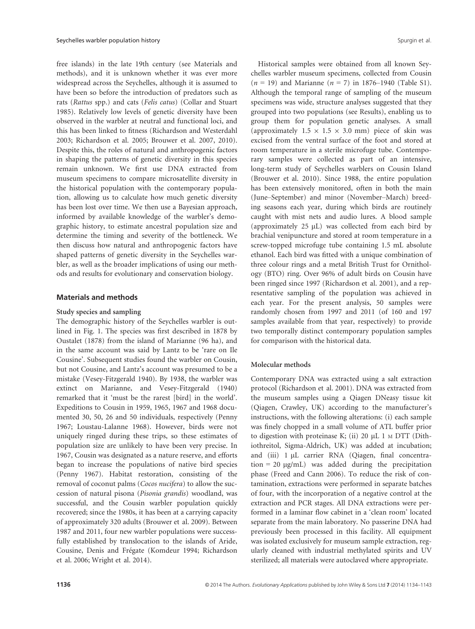free islands) in the late 19th century (see Materials and methods), and it is unknown whether it was ever more widespread across the Seychelles, although it is assumed to have been so before the introduction of predators such as rats (Rattus spp.) and cats (Felis catus) (Collar and Stuart 1985). Relatively low levels of genetic diversity have been observed in the warbler at neutral and functional loci, and this has been linked to fitness (Richardson and Westerdahl 2003; Richardson et al. 2005; Brouwer et al. 2007, 2010). Despite this, the roles of natural and anthropogenic factors in shaping the patterns of genetic diversity in this species remain unknown. We first use DNA extracted from museum specimens to compare microsatellite diversity in the historical population with the contemporary population, allowing us to calculate how much genetic diversity has been lost over time. We then use a Bayesian approach, informed by available knowledge of the warbler's demographic history, to estimate ancestral population size and determine the timing and severity of the bottleneck. We then discuss how natural and anthropogenic factors have shaped patterns of genetic diversity in the Seychelles warbler, as well as the broader implications of using our methods and results for evolutionary and conservation biology.

## Materials and methods

#### Study species and sampling

The demographic history of the Seychelles warbler is outlined in Fig. 1. The species was first described in 1878 by Oustalet (1878) from the island of Marianne (96 ha), and in the same account was said by Lantz to be 'rare on Ile Cousine'. Subsequent studies found the warbler on Cousin, but not Cousine, and Lantz's account was presumed to be a mistake (Vesey-Fitzgerald 1940). By 1938, the warbler was extinct on Marianne, and Vesey-Fitzgerald (1940) remarked that it 'must be the rarest [bird] in the world'. Expeditions to Cousin in 1959, 1965, 1967 and 1968 documented 30, 50, 26 and 50 individuals, respectively (Penny 1967; Loustau-Lalanne 1968). However, birds were not uniquely ringed during these trips, so these estimates of population size are unlikely to have been very precise. In 1967, Cousin was designated as a nature reserve, and efforts began to increase the populations of native bird species (Penny 1967). Habitat restoration, consisting of the removal of coconut palms (Cocos nucifera) to allow the succession of natural pisona (Pisonia grandis) woodland, was successful, and the Cousin warbler population quickly recovered; since the 1980s, it has been at a carrying capacity of approximately 320 adults (Brouwer et al. 2009). Between 1987 and 2011, four new warbler populations were successfully established by translocation to the islands of Aride, Cousine, Denis and Frégate (Komdeur 1994; Richardson et al. 2006; Wright et al. 2014).

Historical samples were obtained from all known Seychelles warbler museum specimens, collected from Cousin  $(n = 19)$  and Marianne  $(n = 7)$  in 1876–1940 (Table S1). Although the temporal range of sampling of the museum specimens was wide, structure analyses suggested that they grouped into two populations (see Results), enabling us to group them for population genetic analyses. A small (approximately  $1.5 \times 1.5 \times 3.0$  mm) piece of skin was excised from the ventral surface of the foot and stored at room temperature in a sterile microfuge tube. Contemporary samples were collected as part of an intensive, long-term study of Seychelles warblers on Cousin Island (Brouwer et al. 2010). Since 1988, the entire population has been extensively monitored, often in both the main (June–September) and minor (November–March) breeding seasons each year, during which birds are routinely caught with mist nets and audio lures. A blood sample (approximately  $25 \mu L$ ) was collected from each bird by brachial venipuncture and stored at room temperature in a screw-topped microfuge tube containing 1.5 mL absolute ethanol. Each bird was fitted with a unique combination of three colour rings and a metal British Trust for Ornithology (BTO) ring. Over 96% of adult birds on Cousin have been ringed since 1997 (Richardson et al. 2001), and a representative sampling of the population was achieved in each year. For the present analysis, 50 samples were randomly chosen from 1997 and 2011 (of 160 and 197 samples available from that year, respectively) to provide two temporally distinct contemporary population samples for comparison with the historical data.

## Molecular methods

Contemporary DNA was extracted using a salt extraction protocol (Richardson et al. 2001). DNA was extracted from the museum samples using a Qiagen DNeasy tissue kit (Qiagen, Crawley, UK) according to the manufacturer's instructions, with the following alterations: (i) each sample was finely chopped in a small volume of ATL buffer prior to digestion with proteinase K; (ii) 20  $\mu$ L 1 M DTT (Dithiothreitol, Sigma-Aldrich, UK) was added at incubation; and (iii) 1 µL carrier RNA (Qiagen, final concentration = 20  $\mu$ g/mL) was added during the precipitation phase (Freed and Cann 2006). To reduce the risk of contamination, extractions were performed in separate batches of four, with the incorporation of a negative control at the extraction and PCR stages. All DNA extractions were performed in a laminar flow cabinet in a 'clean room' located separate from the main laboratory. No passerine DNA had previously been processed in this facility. All equipment was isolated exclusively for museum sample extraction, regularly cleaned with industrial methylated spirits and UV sterilized; all materials were autoclaved where appropriate.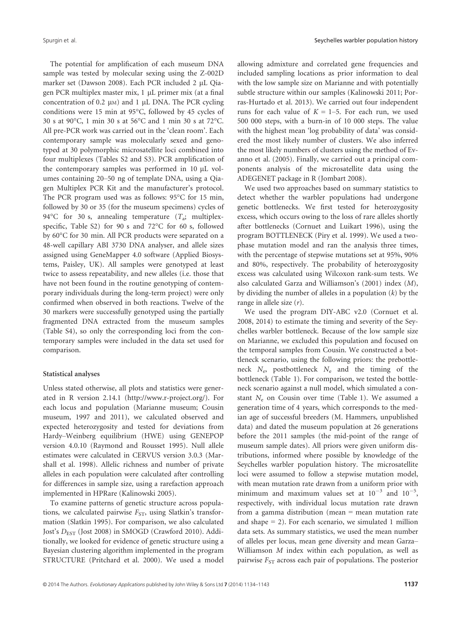The potential for amplification of each museum DNA sample was tested by molecular sexing using the Z-002D marker set (Dawson 2008). Each PCR included 2 µL Qiagen PCR multiplex master mix, 1 µL primer mix (at a final concentration of 0.2  $\mu$ M) and 1  $\mu$ L DNA. The PCR cycling conditions were 15 min at 95°C, followed by 45 cycles of 30 s at 90°C, 1 min 30 s at 56°C and 1 min 30 s at 72°C. All pre-PCR work was carried out in the 'clean room'. Each contemporary sample was molecularly sexed and genotyped at 30 polymorphic microsatellite loci combined into four multiplexes (Tables S2 and S3). PCR amplification of the contemporary samples was performed in  $10 \mu L$  volumes containing 20–50 ng of template DNA, using a Qiagen Multiplex PCR Kit and the manufacturer's protocol. The PCR program used was as follows: 95°C for 15 min, followed by 30 or 35 (for the museum specimens) cycles of 94°C for 30 s, annealing temperature  $(T_a;$  multiplexspecific, Table S2) for 90 s and 72°C for 60 s, followed by 60°C for 30 min. All PCR products were separated on a 48-well capillary ABI 3730 DNA analyser, and allele sizes assigned using GeneMapper 4.0 software (Applied Biosystems, Paisley, UK). All samples were genotyped at least twice to assess repeatability, and new alleles (i.e. those that have not been found in the routine genotyping of contemporary individuals during the long-term project) were only confirmed when observed in both reactions. Twelve of the 30 markers were successfully genotyped using the partially fragmented DNA extracted from the museum samples (Table S4), so only the corresponding loci from the contemporary samples were included in the data set used for comparison.

## Statistical analyses

Unless stated otherwise, all plots and statistics were generated in R version 2.14.1 (http://www.r-project.org/). For each locus and population (Marianne museum; Cousin museum, 1997 and 2011), we calculated observed and expected heterozygosity and tested for deviations from Hardy–Weinberg equilibrium (HWE) using GENEPOP version 4.0.10 (Raymond and Rousset 1995). Null allele estimates were calculated in CERVUS version 3.0.3 (Marshall et al. 1998). Allelic richness and number of private alleles in each population were calculated after controlling for differences in sample size, using a rarefaction approach implemented in HPRare (Kalinowski 2005).

To examine patterns of genetic structure across populations, we calculated pairwise  $F_{ST}$ , using Slatkin's transformation (Slatkin 1995). For comparison, we also calculated Jost's  $D_{\text{EST}}$  (Jost 2008) in SMOGD (Crawford 2010). Additionally, we looked for evidence of genetic structure using a Bayesian clustering algorithm implemented in the program STRUCTURE (Pritchard et al. 2000). We used a model allowing admixture and correlated gene frequencies and included sampling locations as prior information to deal with the low sample size on Marianne and with potentially subtle structure within our samples (Kalinowski 2011; Porras-Hurtado et al. 2013). We carried out four independent runs for each value of  $K = 1-5$ . For each run, we used 500 000 steps, with a burn-in of 10 000 steps. The value with the highest mean 'log probability of data' was considered the most likely number of clusters. We also inferred the most likely numbers of clusters using the method of Evanno et al. (2005). Finally, we carried out a principal components analysis of the microsatellite data using the ADEGENET package in R (Jombart 2008).

We used two approaches based on summary statistics to detect whether the warbler populations had undergone genetic bottlenecks. We first tested for heterozygosity excess, which occurs owing to the loss of rare alleles shortly after bottlenecks (Cornuet and Luikart 1996), using the program BOTTLENECK (Piry et al. 1999). We used a twophase mutation model and ran the analysis three times, with the percentage of stepwise mutations set at 95%, 90% and 80%, respectively. The probability of heterozygosity excess was calculated using Wilcoxon rank-sum tests. We also calculated Garza and Williamson's (2001) index (M), by dividing the number of alleles in a population  $(k)$  by the range in allele size  $(r)$ .

We used the program DIY-ABC v2.0 (Cornuet et al. 2008, 2014) to estimate the timing and severity of the Seychelles warbler bottleneck. Because of the low sample size on Marianne, we excluded this population and focused on the temporal samples from Cousin. We constructed a bottleneck scenario, using the following priors: the prebottleneck  $N_e$ , postbottleneck  $N_e$  and the timing of the bottleneck (Table 1). For comparison, we tested the bottleneck scenario against a null model, which simulated a constant  $N_e$  on Cousin over time (Table 1). We assumed a generation time of 4 years, which corresponds to the median age of successful breeders (M. Hammers, unpublished data) and dated the museum population at 26 generations before the 2011 samples (the mid-point of the range of museum sample dates). All priors were given uniform distributions, informed where possible by knowledge of the Seychelles warbler population history. The microsatellite loci were assumed to follow a stepwise mutation model, with mean mutation rate drawn from a uniform prior with minimum and maximum values set at  $10^{-3}$  and  $10^{-5}$ , respectively, with individual locus mutation rate drawn from a gamma distribution (mean  $=$  mean mutation rate and shape  $= 2$ ). For each scenario, we simulated 1 million data sets. As summary statistics, we used the mean number of alleles per locus, mean gene diversity and mean Garza– Williamson M index within each population, as well as pairwise  $F_{ST}$  across each pair of populations. The posterior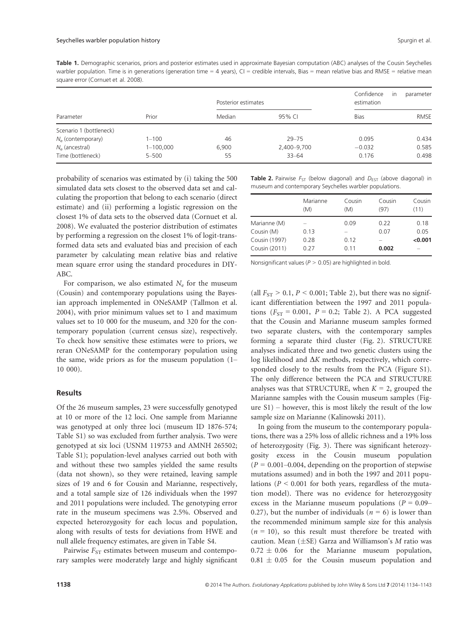Table 1. Demographic scenarios, priors and posterior estimates used in approximate Bayesian computation (ABC) analyses of the Cousin Seychelles warbler population. Time is in generations (generation time = 4 years),  $CI =$  credible intervals, Bias = mean relative bias and RMSE = relative mean square error (Cornuet et al. 2008).

|                         | Prior         | Posterior estimates |             | Confidence<br>estimation | parameter<br>$\mathsf{I}$ |
|-------------------------|---------------|---------------------|-------------|--------------------------|---------------------------|
| Parameter               |               | Median              | 95% CI      | <b>Bias</b>              | <b>RMSE</b>               |
| Scenario 1 (bottleneck) |               |                     |             |                          |                           |
| $N_e$ (contemporary)    | $1 - 100$     | 46                  | $29 - 75$   | 0.095                    | 0.434                     |
| $N_e$ (ancestral)       | $1 - 100,000$ | 6,900               | 2,400-9,700 | $-0.032$                 | 0.585                     |
| Time (bottleneck)       | $5 - 500$     | 55                  | $33 - 64$   | 0.176                    | 0.498                     |

probability of scenarios was estimated by (i) taking the 500 simulated data sets closest to the observed data set and calculating the proportion that belong to each scenario (direct estimate) and (ii) performing a logistic regression on the closest 1% of data sets to the observed data (Cornuet et al. 2008). We evaluated the posterior distribution of estimates by performing a regression on the closest 1% of logit-transformed data sets and evaluated bias and precision of each parameter by calculating mean relative bias and relative mean square error using the standard procedures in DIY-ABC.

For comparison, we also estimated  $N_e$  for the museum (Cousin) and contemporary populations using the Bayesian approach implemented in ONeSAMP (Tallmon et al. 2004), with prior minimum values set to 1 and maximum values set to 10 000 for the museum, and 320 for the contemporary population (current census size), respectively. To check how sensitive these estimates were to priors, we reran ONeSAMP for the contemporary population using the same, wide priors as for the museum population (1– 10 000).

## Results

Of the 26 museum samples, 23 were successfully genotyped at 10 or more of the 12 loci. One sample from Marianne was genotyped at only three loci (museum ID 1876-574; Table S1) so was excluded from further analysis. Two were genotyped at six loci (USNM 119753 and AMNH 265502; Table S1); population-level analyses carried out both with and without these two samples yielded the same results (data not shown), so they were retained, leaving sample sizes of 19 and 6 for Cousin and Marianne, respectively, and a total sample size of 126 individuals when the 1997 and 2011 populations were included. The genotyping error rate in the museum specimens was 2.5%. Observed and expected heterozygosity for each locus and population, along with results of tests for deviations from HWE and null allele frequency estimates, are given in Table S4.

Pairwise  $F_{ST}$  estimates between museum and contemporary samples were moderately large and highly significant **Table 2.** Pairwise  $F_{ST}$  (below diagonal) and  $D_{EST}$  (above diagonal) in museum and contemporary Seychelles warbler populations.

|               | Marianne<br>(M) | Cousin<br>(M) | Cousin<br>(97) | Cousin<br>(11) |
|---------------|-----------------|---------------|----------------|----------------|
| Marianne (M)  |                 | 0.09          | 0.22           | 0.18           |
| Cousin (M)    | 0.13            |               | 0.07           | 0.05           |
| Cousin (1997) | 0.28            | 0.12          |                | < 0.001        |
| Cousin (2011) | 0.27            | 0.11          | 0.002          |                |

Nonsignificant values ( $P > 0.05$ ) are highlighted in bold.

(all  $F_{ST} > 0.1$ ,  $P < 0.001$ ; Table 2), but there was no significant differentiation between the 1997 and 2011 populations ( $F_{ST}$  = 0.001,  $P$  = 0.2; Table 2). A PCA suggested that the Cousin and Marianne museum samples formed two separate clusters, with the contemporary samples forming a separate third cluster (Fig. 2). STRUCTURE analyses indicated three and two genetic clusters using the log likelihood and  $\Delta K$  methods, respectively, which corresponded closely to the results from the PCA (Figure S1). The only difference between the PCA and STRUCTURE analyses was that STRUCTURE, when  $K = 2$ , grouped the Marianne samples with the Cousin museum samples (Figure S1) – however, this is most likely the result of the low sample size on Marianne (Kalinowski 2011).

In going from the museum to the contemporary populations, there was a 25% loss of allelic richness and a 19% loss of heterozygosity (Fig. 3). There was significant heterozygosity excess in the Cousin museum population  $(P = 0.001 - 0.004$ , depending on the proportion of stepwise mutations assumed) and in both the 1997 and 2011 populations ( $P < 0.001$  for both years, regardless of the mutation model). There was no evidence for heterozygosity excess in the Marianne museum populations ( $P = 0.09$ – 0.27), but the number of individuals ( $n = 6$ ) is lower than the recommended minimum sample size for this analysis  $(n = 10)$ , so this result must therefore be treated with caution. Mean  $(\pm SE)$  Garza and Williamson's M ratio was  $0.72 \pm 0.06$  for the Marianne museum population,  $0.81 \pm 0.05$  for the Cousin museum population and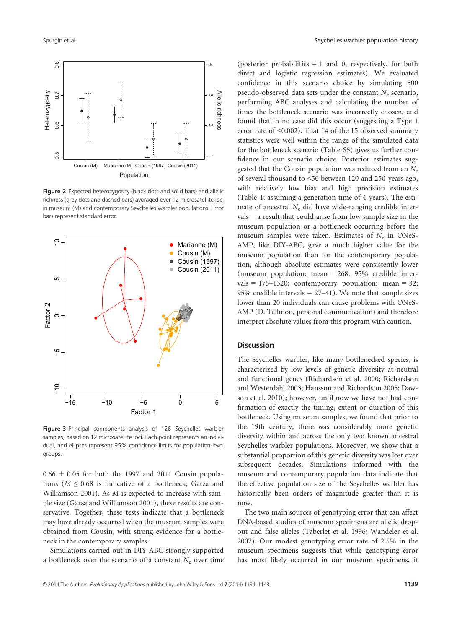

Figure 2 Expected heterozygosity (black dots and solid bars) and allelic richness (grey dots and dashed bars) averaged over 12 microsatellite loci in museum (M) and contemporary Seychelles warbler populations. Error bars represent standard error.



Figure 3 Principal components analysis of 126 Seychelles warbler samples, based on 12 microsatellite loci. Each point represents an individual, and ellipses represent 95% confidence limits for population-level groups.

 $0.66 \pm 0.05$  for both the 1997 and 2011 Cousin populations ( $M \leq 0.68$  is indicative of a bottleneck; Garza and Williamson 2001). As M is expected to increase with sample size (Garza and Williamson 2001), these results are conservative. Together, these tests indicate that a bottleneck may have already occurred when the museum samples were obtained from Cousin, with strong evidence for a bottleneck in the contemporary samples.

Simulations carried out in DIY-ABC strongly supported a bottleneck over the scenario of a constant  $N_e$  over time

(posterior probabilities  $= 1$  and 0, respectively, for both direct and logistic regression estimates). We evaluated confidence in this scenario choice by simulating 500 pseudo-observed data sets under the constant  $N_e$  scenario, performing ABC analyses and calculating the number of times the bottleneck scenario was incorrectly chosen, and found that in no case did this occur (suggesting a Type 1 error rate of <0.002). That 14 of the 15 observed summary statistics were well within the range of the simulated data for the bottleneck scenario (Table S5) gives us further confidence in our scenario choice. Posterior estimates suggested that the Cousin population was reduced from an  $N_e$ of several thousand to <50 between 120 and 250 years ago, with relatively low bias and high precision estimates (Table 1; assuming a generation time of 4 years). The estimate of ancestral  $N_e$  did have wide-ranging credible intervals – a result that could arise from low sample size in the museum population or a bottleneck occurring before the museum samples were taken. Estimates of  $N_e$  in ONeS-AMP, like DIY-ABC, gave a much higher value for the museum population than for the contemporary population, although absolute estimates were consistently lower (museum population: mean = 268, 95% credible intervals = 175–1320; contemporary population: mean = 32; 95% credible intervals  $= 27-41$ ). We note that sample sizes lower than 20 individuals can cause problems with ONeS-AMP (D. Tallmon, personal communication) and therefore interpret absolute values from this program with caution.

# **Discussion**

The Seychelles warbler, like many bottlenecked species, is characterized by low levels of genetic diversity at neutral and functional genes (Richardson et al. 2000; Richardson and Westerdahl 2003; Hansson and Richardson 2005; Dawson et al. 2010); however, until now we have not had confirmation of exactly the timing, extent or duration of this bottleneck. Using museum samples, we found that prior to the 19th century, there was considerably more genetic diversity within and across the only two known ancestral Seychelles warbler populations. Moreover, we show that a substantial proportion of this genetic diversity was lost over subsequent decades. Simulations informed with the museum and contemporary population data indicate that the effective population size of the Seychelles warbler has historically been orders of magnitude greater than it is now.

The two main sources of genotyping error that can affect DNA-based studies of museum specimens are allelic dropout and false alleles (Taberlet et al. 1996; Wandeler et al. 2007). Our modest genotyping error rate of 2.5% in the museum specimens suggests that while genotyping error has most likely occurred in our museum specimens, it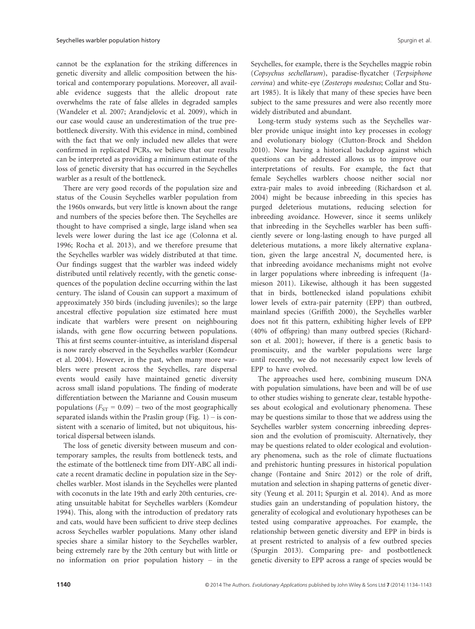cannot be the explanation for the striking differences in genetic diversity and allelic composition between the historical and contemporary populations. Moreover, all available evidence suggests that the allelic dropout rate overwhelms the rate of false alleles in degraded samples (Wandeler et al. 2007; Arandjelovic et al. 2009), which in our case would cause an underestimation of the true prebottleneck diversity. With this evidence in mind, combined with the fact that we only included new alleles that were confirmed in replicated PCRs, we believe that our results can be interpreted as providing a minimum estimate of the loss of genetic diversity that has occurred in the Seychelles warbler as a result of the bottleneck.

There are very good records of the population size and status of the Cousin Seychelles warbler population from the 1960s onwards, but very little is known about the range and numbers of the species before then. The Seychelles are thought to have comprised a single, large island when sea levels were lower during the last ice age (Colonna et al. 1996; Rocha et al. 2013), and we therefore presume that the Seychelles warbler was widely distributed at that time. Our findings suggest that the warbler was indeed widely distributed until relatively recently, with the genetic consequences of the population decline occurring within the last century. The island of Cousin can support a maximum of approximately 350 birds (including juveniles); so the large ancestral effective population size estimated here must indicate that warblers were present on neighbouring islands, with gene flow occurring between populations. This at first seems counter-intuitive, as interisland dispersal is now rarely observed in the Seychelles warbler (Komdeur et al. 2004). However, in the past, when many more warblers were present across the Seychelles, rare dispersal events would easily have maintained genetic diversity across small island populations. The finding of moderate differentiation between the Marianne and Cousin museum populations ( $F_{ST}$  = 0.09) – two of the most geographically separated islands within the Praslin group (Fig.  $1$ ) – is consistent with a scenario of limited, but not ubiquitous, historical dispersal between islands.

The loss of genetic diversity between museum and contemporary samples, the results from bottleneck tests, and the estimate of the bottleneck time from DIY-ABC all indicate a recent dramatic decline in population size in the Seychelles warbler. Most islands in the Seychelles were planted with coconuts in the late 19th and early 20th centuries, creating unsuitable habitat for Seychelles warblers (Komdeur 1994). This, along with the introduction of predatory rats and cats, would have been sufficient to drive steep declines across Seychelles warbler populations. Many other island species share a similar history to the Seychelles warbler, being extremely rare by the 20th century but with little or no information on prior population history – in the

Seychelles, for example, there is the Seychelles magpie robin (Copsychus sechellarum), paradise-flycatcher (Terpsiphone corvina) and white-eye (Zosterops modestus; Collar and Stuart 1985). It is likely that many of these species have been subject to the same pressures and were also recently more widely distributed and abundant.

Long-term study systems such as the Seychelles warbler provide unique insight into key processes in ecology and evolutionary biology (Clutton-Brock and Sheldon 2010). Now having a historical backdrop against which questions can be addressed allows us to improve our interpretations of results. For example, the fact that female Seychelles warblers choose neither social nor extra-pair males to avoid inbreeding (Richardson et al. 2004) might be because inbreeding in this species has purged deleterious mutations, reducing selection for inbreeding avoidance. However, since it seems unlikely that inbreeding in the Seychelles warbler has been sufficiently severe or long-lasting enough to have purged all deleterious mutations, a more likely alternative explanation, given the large ancestral  $N_e$  documented here, is that inbreeding avoidance mechanisms might not evolve in larger populations where inbreeding is infrequent (Jamieson 2011). Likewise, although it has been suggested that in birds, bottlenecked island populations exhibit lower levels of extra-pair paternity (EPP) than outbred, mainland species (Griffith 2000), the Seychelles warbler does not fit this pattern, exhibiting higher levels of EPP (40% of offspring) than many outbred species (Richardson et al. 2001); however, if there is a genetic basis to promiscuity, and the warbler populations were large until recently, we do not necessarily expect low levels of EPP to have evolved.

The approaches used here, combining museum DNA with population simulations, have been and will be of use to other studies wishing to generate clear, testable hypotheses about ecological and evolutionary phenomena. These may be questions similar to those that we address using the Seychelles warbler system concerning inbreeding depression and the evolution of promiscuity. Alternatively, they may be questions related to older ecological and evolutionary phenomena, such as the role of climate fluctuations and prehistoric hunting pressures in historical population change (Fontaine and Snirc 2012) or the role of drift, mutation and selection in shaping patterns of genetic diversity (Yeung et al. 2011; Spurgin et al. 2014). And as more studies gain an understanding of population history, the generality of ecological and evolutionary hypotheses can be tested using comparative approaches. For example, the relationship between genetic diversity and EPP in birds is at present restricted to analysis of a few outbred species (Spurgin 2013). Comparing pre- and postbottleneck genetic diversity to EPP across a range of species would be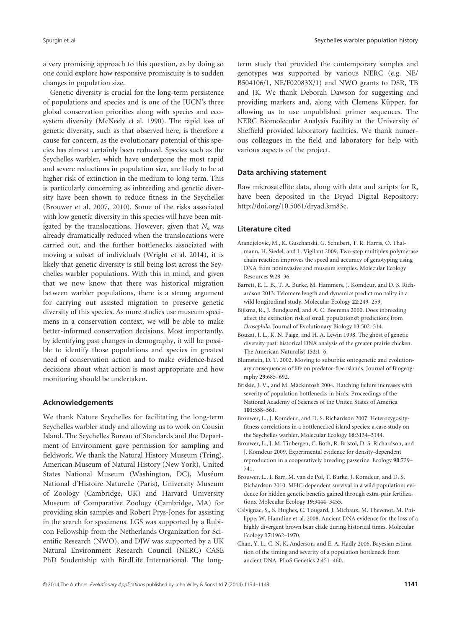a very promising approach to this question, as by doing so one could explore how responsive promiscuity is to sudden changes in population size.

Genetic diversity is crucial for the long-term persistence of populations and species and is one of the IUCN's three global conservation priorities along with species and ecosystem diversity (McNeely et al. 1990). The rapid loss of genetic diversity, such as that observed here, is therefore a cause for concern, as the evolutionary potential of this species has almost certainly been reduced. Species such as the Seychelles warbler, which have undergone the most rapid and severe reductions in population size, are likely to be at higher risk of extinction in the medium to long term. This is particularly concerning as inbreeding and genetic diversity have been shown to reduce fitness in the Seychelles (Brouwer et al. 2007, 2010). Some of the risks associated with low genetic diversity in this species will have been mitigated by the translocations. However, given that  $N_e$  was already dramatically reduced when the translocations were carried out, and the further bottlenecks associated with moving a subset of individuals (Wright et al. 2014), it is likely that genetic diversity is still being lost across the Seychelles warbler populations. With this in mind, and given that we now know that there was historical migration between warbler populations, there is a strong argument for carrying out assisted migration to preserve genetic diversity of this species. As more studies use museum specimens in a conservation context, we will be able to make better-informed conservation decisions. Most importantly, by identifying past changes in demography, it will be possible to identify those populations and species in greatest need of conservation action and to make evidence-based decisions about what action is most appropriate and how monitoring should be undertaken.

## Acknowledgements

We thank Nature Seychelles for facilitating the long-term Seychelles warbler study and allowing us to work on Cousin Island. The Seychelles Bureau of Standards and the Department of Environment gave permission for sampling and fieldwork. We thank the Natural History Museum (Tring), American Museum of Natural History (New York), United States National Museum (Washington, DC), Muséum National d'Histoire Naturelle (Paris), University Museum of Zoology (Cambridge, UK) and Harvard University Museum of Comparative Zoology (Cambridge, MA) for providing skin samples and Robert Prys-Jones for assisting in the search for specimens. LGS was supported by a Rubicon Fellowship from the Netherlands Organization for Scientific Research (NWO), and DJW was supported by a UK Natural Environment Research Council (NERC) CASE PhD Studentship with BirdLife International. The long-

term study that provided the contemporary samples and genotypes was supported by various NERC (e.g. NE/ B504106/1, NE/F02083X/1) and NWO grants to DSR, TB and JK. We thank Deborah Dawson for suggesting and providing markers and, along with Clemens Küpper, for allowing us to use unpublished primer sequences. The NERC Biomolecular Analysis Facility at the University of Sheffield provided laboratory facilities. We thank numerous colleagues in the field and laboratory for help with various aspects of the project.

## Data archiving statement

Raw microsatellite data, along with data and scripts for R, have been deposited in the Dryad Digital Repository: http://doi.org/10.5061/dryad.km83c.

#### Literature cited

- Arandjelovic, M., K. Guschanski, G. Schubert, T. R. Harris, O. Thalmann, H. Siedel, and L. Vigilant 2009. Two-step multiplex polymerase chain reaction improves the speed and accuracy of genotyping using DNA from noninvasive and museum samples. Molecular Ecology Resources 9:28–36.
- Barrett, E. L. B., T. A. Burke, M. Hammers, J. Komdeur, and D. S. Richardson 2013. Telomere length and dynamics predict mortality in a wild longitudinal study. Molecular Ecology 22:249–259.
- Bijlsma, R., J. Bundgaard, and A. C. Boerema 2000. Does inbreeding affect the extinction risk of small populations?: predictions from Drosophila. Journal of Evolutionary Biology 13:502–514.
- Bouzat, J. L., K. N. Paige, and H. A. Lewin 1998. The ghost of genetic diversity past: historical DNA analysis of the greater prairie chicken. The American Naturalist 152:1–6.
- Blumstein, D. T. 2002. Moving to suburbia: ontogenetic and evolutionary consequences of life on predator-free islands. Journal of Biogeography 29:685–692.
- Briskie, J. V., and M. Mackintosh 2004. Hatching failure increases with severity of population bottlenecks in birds. Proceedings of the National Academy of Sciences of the United States of America 101:558–561.
- Brouwer, L., J. Komdeur, and D. S. Richardson 2007. Heterozygosityfitness correlations in a bottlenecked island species: a case study on the Seychelles warbler. Molecular Ecology 16:3134–3144.
- Brouwer, L., J. M. Tinbergen, C. Both, R. Bristol, D. S. Richardson, and J. Komdeur 2009. Experimental evidence for density-dependent reproduction in a cooperatively breeding passerine. Ecology 90:729– 741.
- Brouwer, L., I. Barr, M. van de Pol, T. Burke, J. Komdeur, and D. S. Richardson 2010. MHC-dependent survival in a wild population: evidence for hidden genetic benefits gained through extra-pair fertilizations. Molecular Ecology 19:3444–3455.
- Calvignac, S., S. Hughes, C. Tougard, J. Michaux, M. Thevenot, M. Philippe, W. Hamdine et al. 2008. Ancient DNA evidence for the loss of a highly divergent brown bear clade during historical times. Molecular Ecology 17:1962–1970.
- Chan, Y. L., C. N. K. Anderson, and E. A. Hadly 2006. Bayesian estimation of the timing and severity of a population bottleneck from ancient DNA. PLoS Genetics 2:451–460.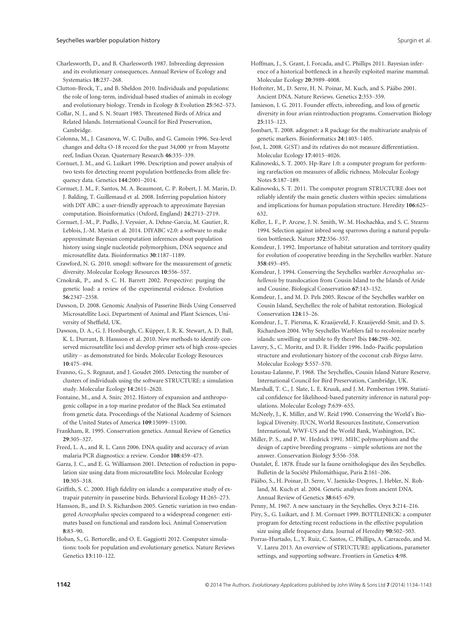- Charlesworth, D., and B. Charlesworth 1987. Inbreeding depression and its evolutionary consequences. Annual Review of Ecology and Systematics 18:237–268.
- Clutton-Brock, T., and B. Sheldon 2010. Individuals and populations: the role of long-term, individual-based studies of animals in ecology and evolutionary biology. Trends in Ecology & Evolution 25:562–573.
- Collar, N. J., and S. N. Stuart 1985. Threatened Birds of Africa and Related Islands. International Council for Bird Preservation, Cambridge.
- Colonna, M., J. Casanova, W. C. Dullo, and G. Camoin 1996. Sea-level changes and delta O-18 record for the past 34,000 yr from Mayotte reef, Indian Ocean. Quaternary Research 46:335–339.
- Cornuet, J. M., and G. Luikart 1996. Description and power analysis of two tests for detecting recent population bottlenecks from allele frequency data. Genetics 144:2001–2014.
- Cornuet, J. M., F. Santos, M. A. Beaumont, C. P. Robert, J. M. Marin, D. J. Balding, T. Guillemaud et al. 2008. Inferring population history with DIY ABC: a user-friendly approach to approximate Bayesian computation. Bioinformatics (Oxford, England) 24:2713–2719.
- Cornuet, J.-M., P. Pudlo, J. Veyssier, A. Dehne-Garcia, M. Gautier, R. Leblois, J.-M. Marin et al. 2014. DIYABC v2.0: a software to make approximate Bayesian computation inferences about population history using single nucleotide polymorphism, DNA sequence and microsatellite data. Bioinformatics 30:1187–1189.
- Crawford, N. G. 2010. smogd: software for the measurement of genetic diversity. Molecular Ecology Resources 10:556–557.
- Crnokrak, P., and S. C. H. Barrett 2002. Perspective: purging the genetic load: a review of the experimental evidence. Evolution 56:2347–2358.
- Dawson, D. 2008. Genomic Analysis of Passerine Birds Using Conserved Microsatellite Loci. Department of Animal and Plant Sciences, University of Sheffield, UK.
- Dawson, D. A., G. J. Horsburgh, C. Küpper, I. R. K. Stewart, A. D. Ball, K. L. Durrant, B. Hansson et al. 2010. New methods to identify conserved microsatellite loci and develop primer sets of high cross-species utility – as demonstrated for birds. Molecular Ecology Resources 10:475–494.
- Evanno, G., S. Regnaut, and J. Goudet 2005. Detecting the number of clusters of individuals using the software STRUCTURE: a simulation study. Molecular Ecology 14:2611–2620.
- Fontaine, M., and A. Snirc 2012. History of expansion and anthropogenic collapse in a top marine predator of the Black Sea estimated from genetic data. Proceedings of the National Academy of Sciences of the United States of America 109:15099–15100.
- Frankham, R. 1995. Conservation genetics. Annual Review of Genetics 29:305–327.
- Freed, L. A., and R. L. Cann 2006. DNA quality and accuracy of avian malaria PCR diagnostics: a review. Condor 108:459–473.
- Garza, J. C., and E. G. Williamson 2001. Detection of reduction in population size using data from microsatellite loci. Molecular Ecology 10:305–318.
- Griffith, S. C. 2000. High fidelity on islands: a comparative study of extrapair paternity in passerine birds. Behavioral Ecology 11:265–273.
- Hansson, B., and D. S. Richardson 2005. Genetic variation in two endangered Acrocephalus species compared to a widespread congener: estimates based on functional and random loci. Animal Conservation 8:83–90.
- Hoban, S., G. Bertorelle, and O. E. Gaggiotti 2012. Computer simulations: tools for population and evolutionary genetics. Nature Reviews Genetics 13:110–122.
- Hoffman, J., S. Grant, J. Forcada, and C. Phillips 2011. Bayesian inference of a historical bottleneck in a heavily exploited marine mammal. Molecular Ecology 20:3989–4008.
- Hofreiter, M., D. Serre, H. N. Poinar, M. Kuch, and S. Pääbo 2001. Ancient DNA. Nature Reviews. Genetics 2:353–359.
- Jamieson, I. G. 2011. Founder effects, inbreeding, and loss of genetic diversity in four avian reintroduction programs. Conservation Biology 25:115–123.
- Jombart, T. 2008. adegenet: a R package for the multivariate analysis of genetic markers. Bioinformatics 24:1403–1405.
- Jost, L. 2008. G(ST) and its relatives do not measure differentiation. Molecular Ecology 17:4015–4026.
- Kalinowski, S. T. 2005. Hp-Rare 1.0: a computer program for performing rarefaction on measures of allelic richness. Molecular Ecology Notes 5:187–189.
- Kalinowski, S. T. 2011. The computer program STRUCTURE does not reliably identify the main genetic clusters within species: simulations and implications for human population structure. Heredity 106:625– 632.
- Keller, L. F., P. Arcese, J. N. Smith, W. M. Hochachka, and S. C. Stearns 1994. Selection against inbred song sparrows during a natural population bottleneck. Nature 372:356–357.
- Komdeur, J. 1992. Importance of habitat saturation and territory quality for evolution of cooperative breeding in the Seychelles warbler. Nature 358:493–495.
- Komdeur, J. 1994. Conserving the Seychelles warbler Acrocephalus sechellensis by translocation from Cousin Island to the Islands of Aride and Cousine. Biological Conservation 67:143–152.
- Komdeur, J., and M. D. Pels 2005. Rescue of the Seychelles warbler on Cousin Island, Seychelles: the role of habitat restoration. Biological Conservation 124:15–26.
- Komdeur, J., T. Piersma, K. Kraaijeveld, F. Kraaijeveld-Smit, and D. S. Richardson 2004. Why Seychelles Warblers fail to recolonize nearby islands: unwilling or unable to fly there? Ibis 146:298–302.
- Lavery, S., C. Moritz, and D. R. Fielder 1996. Indo-Pacific population structure and evolutionary history of the coconut crab Birgus latro. Molecular Ecology 5:557–570.
- Loustau-Lalanne, P. 1968. The Seychelles, Cousin Island Nature Reserve. International Council for Bird Preservation, Cambridge, UK.
- Marshall, T. C., J. Slate, L. E. Kruuk, and J. M. Pemberton 1998. Statistical confidence for likelihood-based paternity inference in natural populations. Molecular Ecology 7:639–655.
- McNeely, J., K. Miller, and W. Reid 1990. Conserving the World's Biological Diversity. IUCN, World Resources Institute, Conservation International, WWF-US and the World Bank, Washington, DC.
- Miller, P. S., and P. W. Hedrick 1991. MHC polymorphism and the design of captive breeding programs – simple solutions are not the answer. Conservation Biology 5:556–558.
- Oustalet, É. 1878. Étude sur la faune ornithologique des îles Seychelles. Bulletin de la Société Philomáthique, Paris 2:161-206.
- Pääbo, S., H. Poinar, D. Serre, V. Jaenicke-Despres, J. Hebler, N. Rohland, M. Kuch et al. 2004. Genetic analyses from ancient DNA. Annual Review of Genetics 38:645–679.
- Penny, M. 1967. A new sanctuary in the Seychelles. Oryx 3:214–216.
- Piry, S., G. Luikart, and J. M. Cornuet 1999. BOTTLENECK: a computer program for detecting recent reductions in the effective population size using allele frequency data. Journal of Heredity 90:502–503.
- Porras-Hurtado, L., Y. Ruiz, C. Santos, C. Phillips, A. Carracedo, and M. V. Lareu 2013. An overview of STRUCTURE: applications, parameter settings, and supporting software. Frontiers in Genetics 4:98.